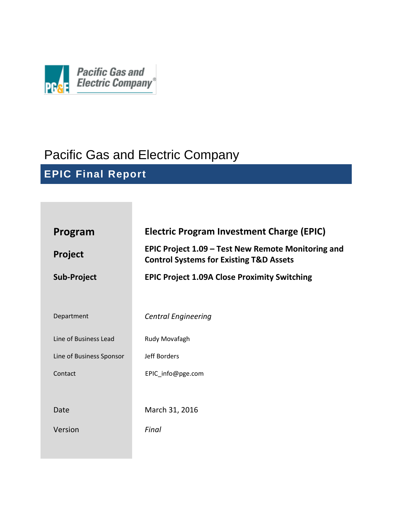

# Pacific Gas and Electric Company

**EPIC Final Report**

| Program<br><b>Project</b> | <b>Electric Program Investment Charge (EPIC)</b><br>EPIC Project 1.09 – Test New Remote Monitoring and |  |  |  |
|---------------------------|--------------------------------------------------------------------------------------------------------|--|--|--|
|                           | <b>Control Systems for Existing T&amp;D Assets</b>                                                     |  |  |  |
| <b>Sub-Project</b>        | <b>EPIC Project 1.09A Close Proximity Switching</b>                                                    |  |  |  |
|                           |                                                                                                        |  |  |  |
| Department                | <b>Central Engineering</b>                                                                             |  |  |  |
| Line of Business Lead     | Rudy Movafagh                                                                                          |  |  |  |
| Line of Business Sponsor  | Jeff Borders                                                                                           |  |  |  |
| Contact                   | EPIC info@pge.com                                                                                      |  |  |  |
|                           |                                                                                                        |  |  |  |
| Date                      | March 31, 2016                                                                                         |  |  |  |
| Version                   | Final                                                                                                  |  |  |  |
|                           |                                                                                                        |  |  |  |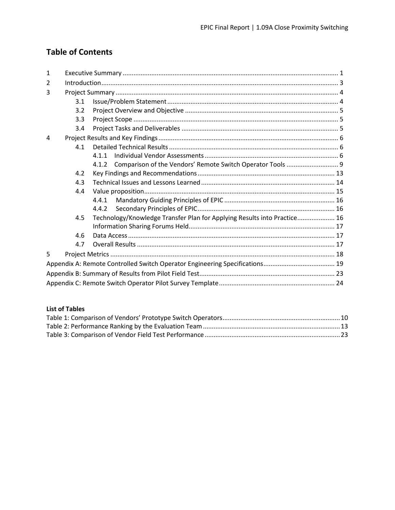# **Table of Contents**

| $\mathbf{1}$ |     |                                                                          |  |  |  |  |  |  |  |
|--------------|-----|--------------------------------------------------------------------------|--|--|--|--|--|--|--|
| 2            |     |                                                                          |  |  |  |  |  |  |  |
| 3            |     |                                                                          |  |  |  |  |  |  |  |
|              | 3.1 |                                                                          |  |  |  |  |  |  |  |
|              | 3.2 |                                                                          |  |  |  |  |  |  |  |
|              | 3.3 |                                                                          |  |  |  |  |  |  |  |
|              | 3.4 |                                                                          |  |  |  |  |  |  |  |
| 4            |     |                                                                          |  |  |  |  |  |  |  |
|              | 4.1 |                                                                          |  |  |  |  |  |  |  |
|              |     | 4.1.1                                                                    |  |  |  |  |  |  |  |
|              |     |                                                                          |  |  |  |  |  |  |  |
|              | 4.2 |                                                                          |  |  |  |  |  |  |  |
|              | 4.3 |                                                                          |  |  |  |  |  |  |  |
|              | 4.4 |                                                                          |  |  |  |  |  |  |  |
|              |     | 4.4.1                                                                    |  |  |  |  |  |  |  |
|              |     | 4.4.2                                                                    |  |  |  |  |  |  |  |
|              | 4.5 | Technology/Knowledge Transfer Plan for Applying Results into Practice 16 |  |  |  |  |  |  |  |
|              |     |                                                                          |  |  |  |  |  |  |  |
|              | 4.6 |                                                                          |  |  |  |  |  |  |  |
|              | 4.7 |                                                                          |  |  |  |  |  |  |  |
| 5            |     |                                                                          |  |  |  |  |  |  |  |
|              |     |                                                                          |  |  |  |  |  |  |  |
|              |     |                                                                          |  |  |  |  |  |  |  |
|              |     |                                                                          |  |  |  |  |  |  |  |

#### **List of Tables**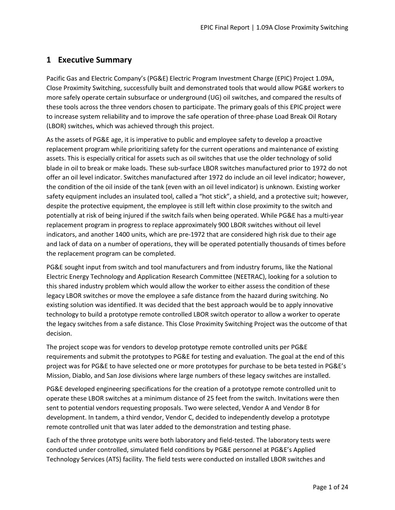# <span id="page-2-0"></span>**1 Executive Summary**

Pacific Gas and Electric Company's (PG&E) Electric Program Investment Charge (EPIC) Project 1.09A, Close Proximity Switching, successfully built and demonstrated tools that would allow PG&E workers to more safely operate certain subsurface or underground (UG) oil switches, and compared the results of these tools across the three vendors chosen to participate. The primary goals of this EPIC project were to increase system reliability and to improve the safe operation of three-phase Load Break Oil Rotary (LBOR) switches, which was achieved through this project.

As the assets of PG&E age, it is imperative to public and employee safety to develop a proactive replacement program while prioritizing safety for the current operations and maintenance of existing assets. This is especially critical for assets such as oil switches that use the older technology of solid blade in oil to break or make loads. These sub-surface LBOR switches manufactured prior to 1972 do not offer an oil level indicator. Switches manufactured after 1972 do include an oil level indicator; however, the condition of the oil inside of the tank (even with an oil level indicator) is unknown. Existing worker safety equipment includes an insulated tool, called a "hot stick", a shield, and a protective suit; however, despite the protective equipment, the employee is still left within close proximity to the switch and potentially at risk of being injured if the switch fails when being operated. While PG&E has a multi-year replacement program in progress to replace approximately 900 LBOR switches without oil level indicators, and another 1400 units, which are pre-1972 that are considered high risk due to their age and lack of data on a number of operations, they will be operated potentially thousands of times before the replacement program can be completed.

PG&E sought input from switch and tool manufacturers and from industry forums, like the National Electric Energy Technology and Application Research Committee (NEETRAC), looking for a solution to this shared industry problem which would allow the worker to either assess the condition of these legacy LBOR switches or move the employee a safe distance from the hazard during switching. No existing solution was identified. It was decided that the best approach would be to apply innovative technology to build a prototype remote controlled LBOR switch operator to allow a worker to operate the legacy switches from a safe distance. This Close Proximity Switching Project was the outcome of that decision.

The project scope was for vendors to develop prototype remote controlled units per PG&E requirements and submit the prototypes to PG&E for testing and evaluation. The goal at the end of this project was for PG&E to have selected one or more prototypes for purchase to be beta tested in PG&E's Mission, Diablo, and San Jose divisions where large numbers of these legacy switches are installed.

PG&E developed engineering specifications for the creation of a prototype remote controlled unit to operate these LBOR switches at a minimum distance of 25 feet from the switch. Invitations were then sent to potential vendors requesting proposals. Two were selected, Vendor A and Vendor B for development. In tandem, a third vendor, Vendor C, decided to independently develop a prototype remote controlled unit that was later added to the demonstration and testing phase.

Each of the three prototype units were both laboratory and field-tested. The laboratory tests were conducted under controlled, simulated field conditions by PG&E personnel at PG&E's Applied Technology Services (ATS) facility. The field tests were conducted on installed LBOR switches and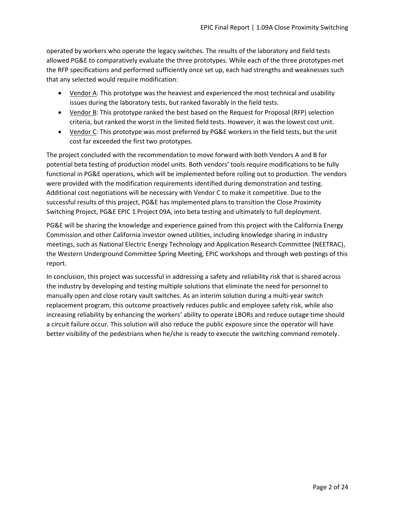operated by workers who operate the legacy switches. The results of the laboratory and field tests allowed PG&E to comparatively evaluate the three prototypes. While each of the three prototypes met the RFP specifications and performed sufficiently once set up, each had strengths and weaknesses such that any selected would require modification:

- Vendor A: This prototype was the heaviest and experienced the most technical and usability issues during the laboratory tests, but ranked favorably in the field tests.
- Vendor B: This prototype ranked the best based on the Request for Proposal (RFP) selection criteria, but ranked the worst in the limited field tests. However, it was the lowest cost unit.
- Vendor C: This prototype was most preferred by PG&E workers in the field tests, but the unit cost far exceeded the first two prototypes.

The project concluded with the recommendation to move forward with both Vendors A and B for potential beta testing of production model units. Both vendors' tools require modifications to be fully functional in PG&E operations, which will be implemented before rolling out to production. The vendors were provided with the modification requirements identified during demonstration and testing. Additional cost negotiations will be necessary with Vendor C to make it competitive. Due to the successful results of this project, PG&E has implemented plans to transition the Close Proximity Switching Project, PG&E EPIC 1 Project 09A, into beta testing and ultimately to full deployment.

PG&E will be sharing the knowledge and experience gained from this project with the California Energy Commission and other California investor owned utilities, including knowledge sharing in industry meetings, such as National Electric Energy Technology and Application Research Committee (NEETRAC), the Western Underground Committee Spring Meeting, EPIC workshops and through web postings of this report.

In conclusion, this project was successful in addressing a safety and reliability risk that is shared across the industry by developing and testing multiple solutions that eliminate the need for personnel to manually open and close rotary vault switches. As an interim solution during a multi-year switch replacement program, this outcome proactively reduces public and employee safety risk, while also increasing reliability by enhancing the workers' ability to operate LBORs and reduce outage time should a circuit failure occur. This solution will also reduce the public exposure since the operator will have better visibility of the pedestrians when he/she is ready to execute the switching command remotely.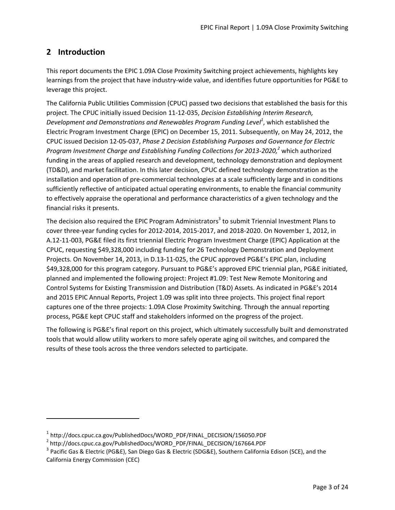# <span id="page-4-0"></span>**2 Introduction**

 $\overline{\phantom{a}}$ 

This report documents the EPIC 1.09A Close Proximity Switching project achievements, highlights key learnings from the project that have industry-wide value, and identifies future opportunities for PG&E to leverage this project.

The California Public Utilities Commission (CPUC) passed two decisions that established the basis for this project. The CPUC initially issued Decision 11-12-035, *Decision Establishing Interim Research, Development and Demonstrations and Renewables Program Funding Le*v*el<sup>1</sup>* , which established the Electric Program Investment Charge (EPIC) on December 15, 2011. Subsequently, on May 24, 2012, the CPUC issued Decision 12-05-037, *Phase 2 Decision Establishing Purposes and Governance for Electric Program Investment Charge and Establishing Funding Collections for 2013-2020, <sup>2</sup>* which authorized funding in the areas of applied research and development, technology demonstration and deployment (TD&D), and market facilitation. In this later decision, CPUC defined technology demonstration as the installation and operation of pre-commercial technologies at a scale sufficiently large and in conditions sufficiently reflective of anticipated actual operating environments, to enable the financial community to effectively appraise the operational and performance characteristics of a given technology and the financial risks it presents.

The decision also required the EPIC Program Administrators<sup>3</sup> to submit Triennial Investment Plans to cover three-year funding cycles for 2012-2014, 2015-2017, and 2018-2020. On November 1, 2012, in A.12-11-003, PG&E filed its first triennial Electric Program Investment Charge (EPIC) Application at the CPUC, requesting \$49,328,000 including funding for 26 Technology Demonstration and Deployment Projects. On November 14, 2013, in D.13-11-025, the CPUC approved PG&E's EPIC plan, including \$49,328,000 for this program category. Pursuant to PG&E's approved EPIC triennial plan, PG&E initiated, planned and implemented the following project: Project #1.09: Test New Remote Monitoring and Control Systems for Existing Transmission and Distribution (T&D) Assets. As indicated in PG&E's 2014 and 2015 EPIC Annual Reports, Project 1.09 was split into three projects. This project final report captures one of the three projects: 1.09A Close Proximity Switching. Through the annual reporting process, PG&E kept CPUC staff and stakeholders informed on the progress of the project.

The following is PG&E's final report on this project, which ultimately successfully built and demonstrated tools that would allow utility workers to more safely operate aging oil switches, and compared the results of these tools across the three vendors selected to participate.

<sup>&</sup>lt;sup>1</sup> http://docs.cpuc.ca.gov/PublishedDocs/WORD\_PDF/FINAL\_DECISION/156050.PDF

<sup>&</sup>lt;sup>2</sup> http://docs.cpuc.ca.gov/PublishedDocs/WORD\_PDF/FINAL\_DECISION/167664.PDF

 $^3$  Pacific Gas & Electric (PG&E), San Diego Gas & Electric (SDG&E), Southern California Edison (SCE), and the California Energy Commission (CEC)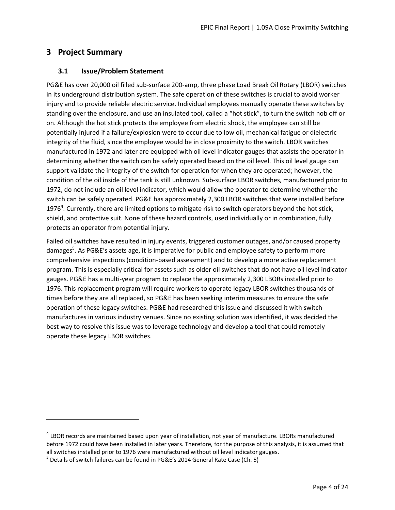## <span id="page-5-0"></span>**3 Project Summary**

 $\overline{a}$ 

#### <span id="page-5-1"></span>**3.1 Issue/Problem Statement**

PG&E has over 20,000 oil filled sub-surface 200-amp, three phase Load Break Oil Rotary (LBOR) switches in its underground distribution system. The safe operation of these switches is crucial to avoid worker injury and to provide reliable electric service. Individual employees manually operate these switches by standing over the enclosure, and use an insulated tool, called a "hot stick", to turn the switch nob off or on. Although the hot stick protects the employee from electric shock, the employee can still be potentially injured if a failure/explosion were to occur due to low oil, mechanical fatigue or dielectric integrity of the fluid, since the employee would be in close proximity to the switch. LBOR switches manufactured in 1972 and later are equipped with oil level indicator gauges that assists the operator in determining whether the switch can be safely operated based on the oil level. This oil level gauge can support validate the integrity of the switch for operation for when they are operated; however, the condition of the oil inside of the tank is still unknown. Sub-surface LBOR switches, manufactured prior to 1972, do not include an oil level indicator, which would allow the operator to determine whether the switch can be safely operated. PG&E has approximately 2,300 LBOR switches that were installed before 1976**<sup>4</sup>** . Currently, there are limited options to mitigate risk to switch operators beyond the hot stick, shield, and protective suit. None of these hazard controls, used individually or in combination, fully protects an operator from potential injury.

Failed oil switches have resulted in injury events, triggered customer outages, and/or caused property damages<sup>5</sup>. As PG&E's assets age, it is imperative for public and employee safety to perform more comprehensive inspections (condition-based assessment) and to develop a more active replacement program. This is especially critical for assets such as older oil switches that do not have oil level indicator gauges. PG&E has a multi-year program to replace the approximately 2,300 LBORs installed prior to 1976. This replacement program will require workers to operate legacy LBOR switches thousands of times before they are all replaced, so PG&E has been seeking interim measures to ensure the safe operation of these legacy switches. PG&E had researched this issue and discussed it with switch manufactures in various industry venues. Since no existing solution was identified, it was decided the best way to resolve this issue was to leverage technology and develop a tool that could remotely operate these legacy LBOR switches.

<sup>&</sup>lt;sup>4</sup> LBOR records are maintained based upon year of installation, not year of manufacture. LBORs manufactured before 1972 could have been installed in later years. Therefore, for the purpose of this analysis, it is assumed that all switches installed prior to 1976 were manufactured without oil level indicator gauges.

 $^5$  Details of switch failures can be found in PG&E's 2014 General Rate Case (Ch. 5)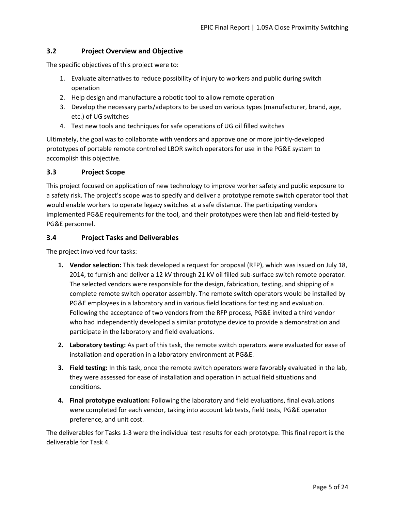#### <span id="page-6-0"></span>**3.2 Project Overview and Objective**

The specific objectives of this project were to:

- 1. Evaluate alternatives to reduce possibility of injury to workers and public during switch operation
- 2. Help design and manufacture a robotic tool to allow remote operation
- 3. Develop the necessary parts/adaptors to be used on various types (manufacturer, brand, age, etc.) of UG switches
- 4. Test new tools and techniques for safe operations of UG oil filled switches

Ultimately, the goal was to collaborate with vendors and approve one or more jointly-developed prototypes of portable remote controlled LBOR switch operators for use in the PG&E system to accomplish this objective.

#### <span id="page-6-1"></span>**3.3 Project Scope**

This project focused on application of new technology to improve worker safety and public exposure to a safety risk. The project's scope was to specify and deliver a prototype remote switch operator tool that would enable workers to operate legacy switches at a safe distance. The participating vendors implemented PG&E requirements for the tool, and their prototypes were then lab and field-tested by PG&E personnel.

#### <span id="page-6-2"></span>**3.4 Project Tasks and Deliverables**

The project involved four tasks:

- **1. Vendor selection:** This task developed a request for proposal (RFP), which was issued on July 18, 2014, to furnish and deliver a 12 kV through 21 kV oil filled sub-surface switch remote operator. The selected vendors were responsible for the design, fabrication, testing, and shipping of a complete remote switch operator assembly. The remote switch operators would be installed by PG&E employees in a laboratory and in various field locations for testing and evaluation. Following the acceptance of two vendors from the RFP process, PG&E invited a third vendor who had independently developed a similar prototype device to provide a demonstration and participate in the laboratory and field evaluations.
- **2. Laboratory testing:** As part of this task, the remote switch operators were evaluated for ease of installation and operation in a laboratory environment at PG&E.
- **3. Field testing:** In this task, once the remote switch operators were favorably evaluated in the lab, they were assessed for ease of installation and operation in actual field situations and conditions.
- **4. Final prototype evaluation:** Following the laboratory and field evaluations, final evaluations were completed for each vendor, taking into account lab tests, field tests, PG&E operator preference, and unit cost.

The deliverables for Tasks 1-3 were the individual test results for each prototype. This final report is the deliverable for Task 4.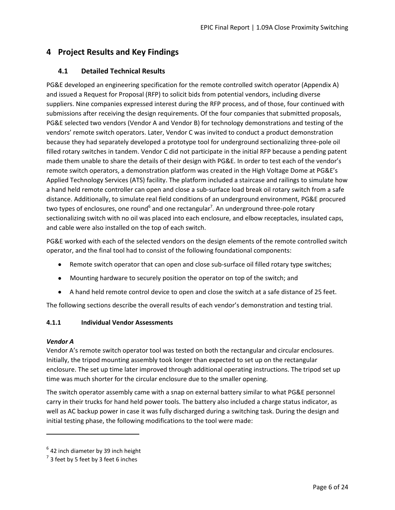# <span id="page-7-0"></span>**4 Project Results and Key Findings**

#### <span id="page-7-1"></span>**4.1 Detailed Technical Results**

PG&E developed an engineering specification for the remote controlled switch operator (Appendix A) and issued a Request for Proposal (RFP) to solicit bids from potential vendors, including diverse suppliers. Nine companies expressed interest during the RFP process, and of those, four continued with submissions after receiving the design requirements. Of the four companies that submitted proposals, PG&E selected two vendors (Vendor A and Vendor B) for technology demonstrations and testing of the vendors' remote switch operators. Later, Vendor C was invited to conduct a product demonstration because they had separately developed a prototype tool for underground sectionalizing three-pole oil filled rotary switches in tandem. Vendor C did not participate in the initial RFP because a pending patent made them unable to share the details of their design with PG&E. In order to test each of the vendor's remote switch operators, a demonstration platform was created in the High Voltage Dome at PG&E's Applied Technology Services (ATS) facility. The platform included a staircase and railings to simulate how a hand held remote controller can open and close a sub-surface load break oil rotary switch from a safe distance. Additionally, to simulate real field conditions of an underground environment, PG&E procured two types of enclosures, one round<sup>6</sup> and one rectangular<sup>7</sup>. An underground three-pole rotary sectionalizing switch with no oil was placed into each enclosure, and elbow receptacles, insulated caps, and cable were also installed on the top of each switch.

PG&E worked with each of the selected vendors on the design elements of the remote controlled switch operator, and the final tool had to consist of the following foundational components:

- Remote switch operator that can open and close sub-surface oil filled rotary type switches;
- Mounting hardware to securely position the operator on top of the switch; and
- A hand held remote control device to open and close the switch at a safe distance of 25 feet.

The following sections describe the overall results of each vendor's demonstration and testing trial.

#### <span id="page-7-2"></span>**4.1.1 Individual Vendor Assessments**

#### *Vendor A*

 $\overline{\phantom{a}}$ 

Vendor A's remote switch operator tool was tested on both the rectangular and circular enclosures. Initially, the tripod mounting assembly took longer than expected to set up on the rectangular enclosure. The set up time later improved through additional operating instructions. The tripod set up time was much shorter for the circular enclosure due to the smaller opening.

The switch operator assembly came with a snap on external battery similar to what PG&E personnel carry in their trucks for hand held power tools. The battery also included a charge status indicator, as well as AC backup power in case it was fully discharged during a switching task. During the design and initial testing phase, the following modifications to the tool were made:

 $^6$  42 inch diameter by 39 inch height

 $^7$  3 feet by 5 feet by 3 feet 6 inches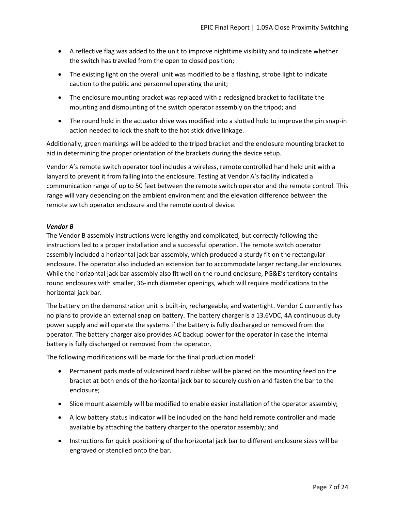- A reflective flag was added to the unit to improve nighttime visibility and to indicate whether the switch has traveled from the open to closed position;
- The existing light on the overall unit was modified to be a flashing, strobe light to indicate caution to the public and personnel operating the unit;
- The enclosure mounting bracket was replaced with a redesigned bracket to facilitate the mounting and dismounting of the switch operator assembly on the tripod; and
- The round hold in the actuator drive was modified into a slotted hold to improve the pin snap-in action needed to lock the shaft to the hot stick drive linkage.

Additionally, green markings will be added to the tripod bracket and the enclosure mounting bracket to aid in determining the proper orientation of the brackets during the device setup.

Vendor A's remote switch operator tool includes a wireless, remote controlled hand held unit with a lanyard to prevent it from falling into the enclosure. Testing at Vendor A's facility indicated a communication range of up to 50 feet between the remote switch operator and the remote control. This range will vary depending on the ambient environment and the elevation difference between the remote switch operator enclosure and the remote control device.

#### *Vendor B*

The Vendor B assembly instructions were lengthy and complicated, but correctly following the instructions led to a proper installation and a successful operation. The remote switch operator assembly included a horizontal jack bar assembly, which produced a sturdy fit on the rectangular enclosure. The operator also included an extension bar to accommodate larger rectangular enclosures. While the horizontal jack bar assembly also fit well on the round enclosure, PG&E's territory contains round enclosures with smaller, 36-inch diameter openings, which will require modifications to the horizontal jack bar.

The battery on the demonstration unit is built-in, rechargeable, and watertight. Vendor C currently has no plans to provide an external snap on battery. The battery charger is a 13.6VDC, 4A continuous duty power supply and will operate the systems if the battery is fully discharged or removed from the operator. The battery charger also provides AC backup power for the operator in case the internal battery is fully discharged or removed from the operator.

The following modifications will be made for the final production model:

- Permanent pads made of vulcanized hard rubber will be placed on the mounting feed on the bracket at both ends of the horizontal jack bar to securely cushion and fasten the bar to the enclosure;
- Slide mount assembly will be modified to enable easier installation of the operator assembly;
- A low battery status indicator will be included on the hand held remote controller and made available by attaching the battery charger to the operator assembly; and
- Instructions for quick positioning of the horizontal jack bar to different enclosure sizes will be engraved or stenciled onto the bar.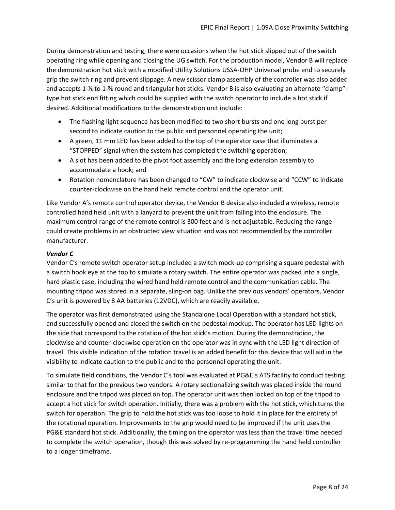During demonstration and testing, there were occasions when the hot stick slipped out of the switch operating ring while opening and closing the UG switch. For the production model, Vendor B will replace the demonstration hot stick with a modified Utility Solutions USSA-OHP Universal probe end to securely grip the switch ring and prevent slippage. A new scissor clamp assembly of the controller was also added and accepts 1-⅛ to 1-⅝ round and triangular hot sticks. Vendor B is also evaluating an alternate "clamp" type hot stick end fitting which could be supplied with the switch operator to include a hot stick if desired. Additional modifications to the demonstration unit include:

- The flashing light sequence has been modified to two short bursts and one long burst per second to indicate caution to the public and personnel operating the unit;
- A green, 11 mm LED has been added to the top of the operator case that illuminates a "STOPPED" signal when the system has completed the switching operation;
- A slot has been added to the pivot foot assembly and the long extension assembly to accommodate a hook; and
- Rotation nomenclature has been changed to "CW" to indicate clockwise and "CCW" to indicate counter-clockwise on the hand held remote control and the operator unit.

Like Vendor A's remote control operator device, the Vendor B device also included a wireless, remote controlled hand held unit with a lanyard to prevent the unit from falling into the enclosure. The maximum control range of the remote control is 300 feet and is not adjustable. Reducing the range could create problems in an obstructed view situation and was not recommended by the controller manufacturer.

#### *Vendor C*

Vendor C's remote switch operator setup included a switch mock-up comprising a square pedestal with a switch hook eye at the top to simulate a rotary switch. The entire operator was packed into a single, hard plastic case, including the wired hand held remote control and the communication cable. The mounting tripod was stored in a separate, sling-on bag. Unlike the previous vendors' operators, Vendor C's unit is powered by 8 AA batteries (12VDC), which are readily available.

The operator was first demonstrated using the Standalone Local Operation with a standard hot stick, and successfully opened and closed the switch on the pedestal mockup. The operator has LED lights on the side that correspond to the rotation of the hot stick's motion. During the demonstration, the clockwise and counter-clockwise operation on the operator was in sync with the LED light direction of travel. This visible indication of the rotation travel is an added benefit for this device that will aid in the visibility to indicate caution to the public and to the personnel operating the unit.

To simulate field conditions, the Vendor C's tool was evaluated at PG&E's ATS facility to conduct testing similar to that for the previous two vendors. A rotary sectionalizing switch was placed inside the round enclosure and the tripod was placed on top. The operator unit was then locked on top of the tripod to accept a hot stick for switch operation. Initially, there was a problem with the hot stick, which turns the switch for operation. The grip to hold the hot stick was too loose to hold it in place for the entirety of the rotational operation. Improvements to the grip would need to be improved if the unit uses the PG&E standard hot stick. Additionally, the timing on the operator was less than the travel time needed to complete the switch operation, though this was solved by re-programming the hand held controller to a longer timeframe.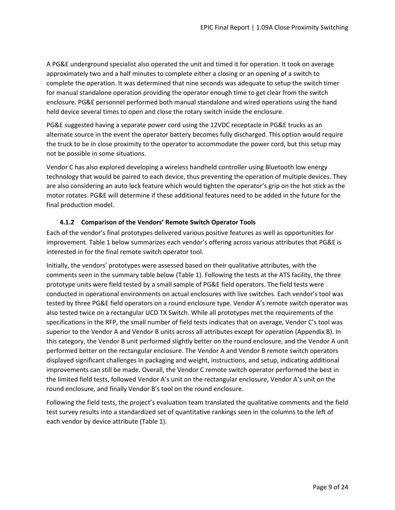A PG&E underground specialist also operated the unit and timed it for operation. It took on average approximately two and a half minutes to complete either a closing or an opening of a switch to complete the operation. It was determined that nine seconds was adequate to setup the switch timer for manual standalone operation providing the operator enough time to get clear from the switch enclosure. PG&E personnel performed both manual standalone and wired operations using the hand held device several times to open and close the rotary switch inside the enclosure.

PG&E suggested having a separate power cord using the 12VDC receptacle in PG&E trucks as an alternate source in the event the operator battery becomes fully discharged. This option would require the truck to be in close proximity to the operator to accommodate the power cord, but this setup may not be possible in some situations.

Vendor C has also explored developing a wireless handheld controller using Bluetooth low energy technology that would be paired to each device, thus preventing the operation of multiple devices. They are also considering an auto lock feature which would tighten the operator's grip on the hot stick as the motor rotates. PG&E will determine if these additional features need to be added in the future for the final production model.

#### **4.1.2 Comparison of the Vendors' Remote Switch Operator Tools**

<span id="page-10-0"></span>Each of the vendor's final prototypes delivered various positive features as well as opportunities for improvement. [Table 1](#page-11-0) below summarizes each vendor's offering across various attributes that PG&E is interested in for the final remote switch operator tool.

Initially, the vendors' prototypes were assessed based on their qualitative attributes, with the comments seen in the summary table below [\(Table 1\)](#page-11-0). Following the tests at the ATS facility, the three prototype units were field tested by a small sample of PG&E field operators. The field tests were conducted in operational environments on actual enclosures with live switches. Each vendor's tool was tested by three PG&E field operators on a round enclosure type. Vendor A's remote switch operator was also tested twice on a rectangular UCD TX Switch. While all prototypes met the requirements of the specifications in the RFP, the small number of field tests indicates that on average, Vendor C's tool was superior to the Vendor A and Vendor B units across all attributes except for operation (Appendix B). In this category, the Vendor B unit performed slightly better on the round enclosure, and the Vendor A unit performed better on the rectangular enclosure. The Vendor A and Vendor B remote switch operators displayed significant challenges in packaging and weight, instructions, and setup, indicating additional improvements can still be made. Overall, the Vendor C remote switch operator performed the best in the limited field tests, followed Vendor A's unit on the rectangular enclosure, Vendor A's unit on the round enclosure, and finally Vendor B's tool on the round enclosure.

Following the field tests, the project's evaluation team translated the qualitative comments and the field test survey results into a standardized set of quantitative rankings seen in the columns to the left of each vendor by device attribute [\(Table 1\)](#page-11-0).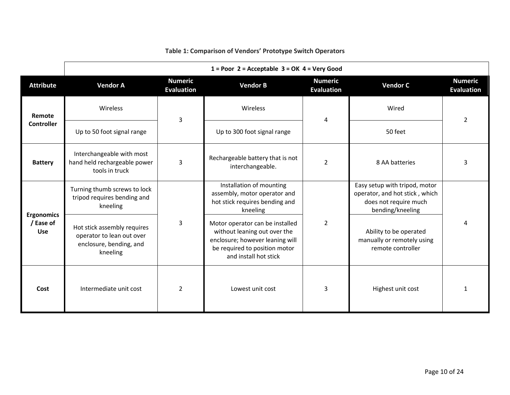<span id="page-11-0"></span>

|                                              | $1 = Poor$ 2 = Acceptable 3 = OK 4 = Very Good                                                  |                                     |                                                                                                                                                              |                                  |                                                                                                              |                                     |  |
|----------------------------------------------|-------------------------------------------------------------------------------------------------|-------------------------------------|--------------------------------------------------------------------------------------------------------------------------------------------------------------|----------------------------------|--------------------------------------------------------------------------------------------------------------|-------------------------------------|--|
| <b>Attribute</b>                             | <b>Vendor A</b>                                                                                 | <b>Numeric</b><br><b>Evaluation</b> | <b>Vendor B</b>                                                                                                                                              |                                  | <b>Vendor C</b>                                                                                              | <b>Numeric</b><br><b>Evaluation</b> |  |
| Remote                                       | Wireless                                                                                        | 3                                   | Wireless                                                                                                                                                     | 4                                | Wired                                                                                                        | $\overline{2}$                      |  |
| <b>Controller</b>                            | Up to 50 foot signal range                                                                      |                                     | Up to 300 foot signal range                                                                                                                                  |                                  | 50 feet                                                                                                      |                                     |  |
| <b>Battery</b>                               | Interchangeable with most<br>hand held rechargeable power<br>tools in truck                     | 3                                   | Rechargeable battery that is not<br>interchangeable.                                                                                                         | $\overline{2}$<br>8 AA batteries |                                                                                                              | 3                                   |  |
| <b>Ergonomics</b><br>/ Ease of<br><b>Use</b> | Turning thumb screws to lock<br>tripod requires bending and<br>kneeling                         |                                     | Installation of mounting<br>assembly, motor operator and<br>hot stick requires bending and<br>kneeling                                                       |                                  | Easy setup with tripod, motor<br>operator, and hot stick, which<br>does not require much<br>bending/kneeling | 4                                   |  |
|                                              | Hot stick assembly requires<br>operator to lean out over<br>enclosure, bending, and<br>kneeling | $\overline{3}$                      | Motor operator can be installed<br>without leaning out over the<br>enclosure; however leaning will<br>be required to position motor<br>and install hot stick | $\overline{2}$                   | Ability to be operated<br>manually or remotely using<br>remote controller                                    |                                     |  |
| Cost                                         | $\overline{2}$<br>Intermediate unit cost                                                        |                                     | Lowest unit cost                                                                                                                                             | 3                                | Highest unit cost                                                                                            | 1                                   |  |

### **Table 1: Comparison of Vendors' Prototype Switch Operators**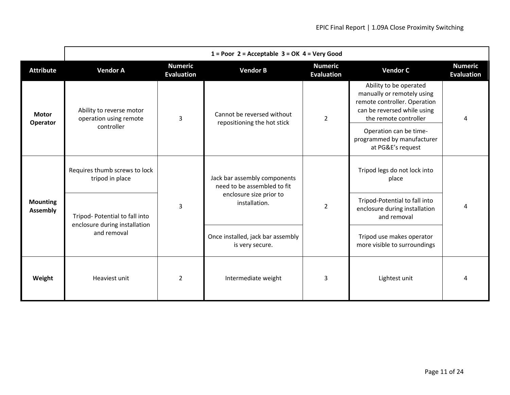|                                    | $1 = Poor$ 2 = Acceptable 3 = OK 4 = Very Good                                 |   |                                                             |                |                                                                                                                                              |                                     |  |
|------------------------------------|--------------------------------------------------------------------------------|---|-------------------------------------------------------------|----------------|----------------------------------------------------------------------------------------------------------------------------------------------|-------------------------------------|--|
| <b>Attribute</b>                   | <b>Numeric</b><br><b>Vendor A</b><br><b>Evaluation</b>                         |   | <b>Numeric</b><br><b>Vendor B</b><br><b>Evaluation</b>      |                | <b>Vendor C</b>                                                                                                                              | <b>Numeric</b><br><b>Evaluation</b> |  |
| <b>Motor</b><br>Operator           | Ability to reverse motor<br>operation using remote                             | 3 | Cannot be reversed without<br>repositioning the hot stick   | $\overline{2}$ | Ability to be operated<br>manually or remotely using<br>remote controller. Operation<br>can be reversed while using<br>the remote controller | 4                                   |  |
|                                    | controller                                                                     |   |                                                             |                | Operation can be time-<br>programmed by manufacturer<br>at PG&E's request                                                                    |                                     |  |
| <b>Mounting</b><br><b>Assembly</b> | Requires thumb screws to lock<br>tripod in place                               |   | Jack bar assembly components<br>need to be assembled to fit |                | Tripod legs do not lock into<br>place                                                                                                        |                                     |  |
|                                    | Tripod- Potential to fall into<br>enclosure during installation<br>and removal | 3 | enclosure size prior to<br>installation.                    | $\overline{2}$ | Tripod-Potential to fall into<br>enclosure during installation<br>and removal                                                                | 4                                   |  |
|                                    |                                                                                |   | Once installed, jack bar assembly<br>is very secure.        |                | Tripod use makes operator<br>more visible to surroundings                                                                                    |                                     |  |
| Weight                             | $\overline{2}$<br>Heaviest unit                                                |   | Intermediate weight                                         | 3              | Lightest unit                                                                                                                                | 4                                   |  |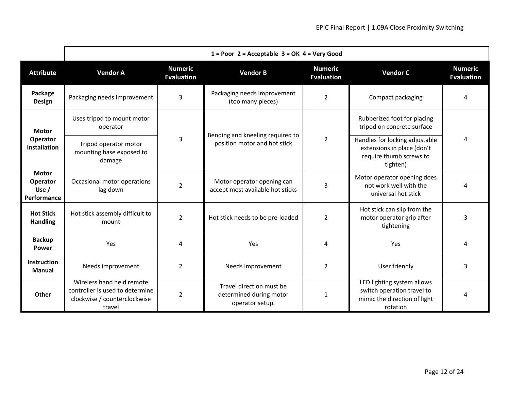|                                                    | $1 =$ Poor 2 = Acceptable 3 = OK 4 = Very Good                                                         |                                                                                                                           |                                                                        |                                                       |                                                                                                      |                                     |  |
|----------------------------------------------------|--------------------------------------------------------------------------------------------------------|---------------------------------------------------------------------------------------------------------------------------|------------------------------------------------------------------------|-------------------------------------------------------|------------------------------------------------------------------------------------------------------|-------------------------------------|--|
| <b>Attribute</b>                                   | <b>Numeric</b><br><b>Vendor A</b><br><b>Evaluation</b>                                                 |                                                                                                                           | <b>Vendor B</b>                                                        | <b>Numeric</b><br><b>Evaluation</b>                   | <b>Vendor C</b>                                                                                      | <b>Numeric</b><br><b>Evaluation</b> |  |
| Package<br><b>Design</b>                           | Packaging needs improvement                                                                            | 3                                                                                                                         | Packaging needs improvement<br>(too many pieces)                       | $\overline{2}$                                        | Compact packaging                                                                                    | 4                                   |  |
| <b>Motor</b>                                       | Uses tripod to mount motor<br>operator                                                                 |                                                                                                                           |                                                                        |                                                       | Rubberized foot for placing<br>tripod on concrete surface                                            | 4                                   |  |
| Operator<br>Installation                           | Tripod operator motor<br>mounting base exposed to<br>damage                                            | 3                                                                                                                         | Bending and kneeling required to<br>position motor and hot stick       | $\overline{2}$                                        | Handles for locking adjustable<br>extensions in place (don't<br>require thumb screws to<br>tighten)  |                                     |  |
| <b>Motor</b><br>Operator<br>Use $/$<br>Performance | Occasional motor operations<br>lag down                                                                | Motor operator opening can<br>$\overline{2}$<br>$\overline{3}$<br>accept most available hot sticks<br>universal hot stick |                                                                        | Motor operator opening does<br>not work well with the | 4                                                                                                    |                                     |  |
| <b>Hot Stick</b><br><b>Handling</b>                | Hot stick assembly difficult to<br>$\overline{2}$<br>mount                                             |                                                                                                                           | Hot stick needs to be pre-loaded                                       | $\overline{2}$                                        | Hot stick can slip from the<br>motor operator grip after<br>tightening                               | 3                                   |  |
| <b>Backup</b><br><b>Power</b>                      | Yes                                                                                                    | 4<br>Yes                                                                                                                  |                                                                        | 4                                                     | Yes                                                                                                  | 4                                   |  |
| <b>Instruction</b><br><b>Manual</b>                | Needs improvement                                                                                      | 2                                                                                                                         | Needs improvement                                                      | 2                                                     | User friendly                                                                                        | 3                                   |  |
| Other                                              | Wireless hand held remote<br>controller is used to determine<br>clockwise / counterclockwise<br>travel | $\overline{2}$                                                                                                            | Travel direction must be<br>determined during motor<br>operator setup. | 1                                                     | LED lighting system allows<br>switch operation travel to<br>mimic the direction of light<br>rotation | 4                                   |  |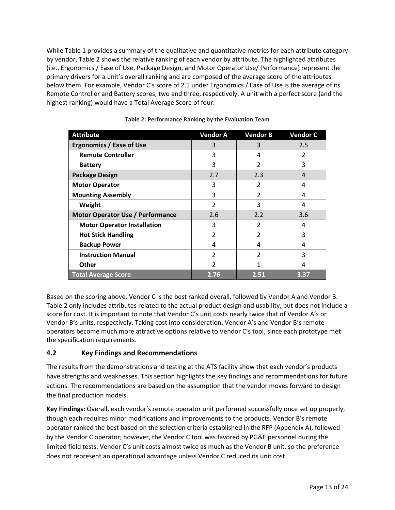Whil[e Table 1](#page-11-0) provides a summary of the qualitative and quantitative metrics for each attribute category by vendor, [Table 2](#page-14-1) shows the relative ranking of each vendor by attribute. The highlighted attributes (i.e., Ergonomics / Ease of Use, Package Design, and Motor Operator Use/ Performance) represent the primary drivers for a unit's overall ranking and are composed of the average score of the attributes below them. For example, Vendor C's score of 2.5 under Ergonomics / Ease of Use is the average of its Remote Controller and Battery scores, two and three, respectively. A unit with a perfect score (and the highest ranking) would have a Total Average Score of four.

<span id="page-14-1"></span>

| <b>Attribute</b>                        | <b>Vendor A</b> | <b>Vendor B</b> | <b>Vendor C</b> |
|-----------------------------------------|-----------------|-----------------|-----------------|
| <b>Ergonomics / Ease of Use</b>         | 3               | 3               | 2.5             |
| <b>Remote Controller</b>                | 3               | 4               | $\overline{2}$  |
| <b>Battery</b>                          | 3               | $\overline{2}$  | 3               |
| <b>Package Design</b>                   | 2.7             | 2.3             | 4               |
| <b>Motor Operator</b>                   | 3               | 2               | 4               |
| <b>Mounting Assembly</b>                | 3               | $\overline{2}$  | 4               |
| Weight                                  | $\overline{2}$  | 3               | 4               |
| <b>Motor Operator Use / Performance</b> | 2.6             | 2.2             | 3.6             |
| <b>Motor Operator Installation</b>      | 3               | $\overline{2}$  | 4               |
| <b>Hot Stick Handling</b>               | $\overline{2}$  | $\overline{2}$  | 3               |
| <b>Backup Power</b>                     | 4               | 4               | 4               |
| <b>Instruction Manual</b>               | $\overline{2}$  | $\overline{2}$  | 3               |
| <b>Other</b>                            | 2               | $\mathbf{1}$    | 4               |
| <b>Total Average Score</b>              | 2.76            | 2.51            | 3.37            |

Based on the scoring above, Vendor C is the best ranked overall, followed by Vendor A and Vendor B. [Table 2](#page-14-1) only includes attributes related to the actual product design and usability, but does not include a score for cost. It is important to note that Vendor C's unit costs nearly twice that of Vendor A's or Vendor B's units, respectively. Taking cost into consideration, Vendor A's and Vendor B's remote operators become much more attractive options relative to Vendor C's tool, since each prototype met the specification requirements.

#### <span id="page-14-0"></span>**4.2 Key Findings and Recommendations**

The results from the demonstrations and testing at the ATS facility show that each vendor's products have strengths and weaknesses. This section highlights the key findings and recommendations for future actions. The recommendations are based on the assumption that the vendor moves forward to design the final production models.

**Key Findings:** Overall, each vendor's remote operator unit performed successfully once set up properly, though each requires minor modifications and improvements to the products. Vendor B's remote operator ranked the best based on the selection criteria established in the RFP (Appendix A), followed by the Vendor C operator; however, the Vendor C tool was favored by PG&E personnel during the limited field tests. Vendor C's unit costs almost twice as much as the Vendor B unit, so the preference does not represent an operational advantage unless Vendor C reduced its unit cost.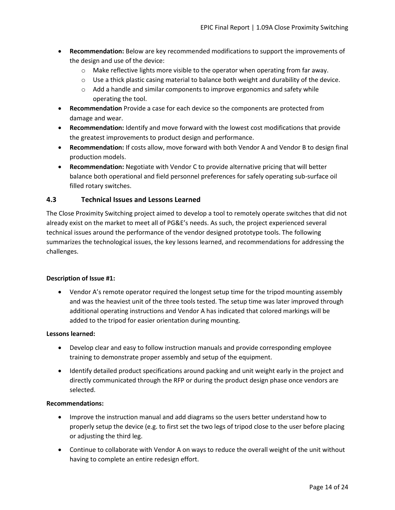- **Recommendation:** Below are key recommended modifications to support the improvements of the design and use of the device:
	- $\circ$  Make reflective lights more visible to the operator when operating from far away.
	- $\circ$  Use a thick plastic casing material to balance both weight and durability of the device.
	- o Add a handle and similar components to improve ergonomics and safety while operating the tool.
- **Recommendation** Provide a case for each device so the components are protected from damage and wear.
- **Recommendation:** Identify and move forward with the lowest cost modifications that provide the greatest improvements to product design and performance.
- **Recommendation:** If costs allow, move forward with both Vendor A and Vendor B to design final production models.
- **Recommendation:** Negotiate with Vendor C to provide alternative pricing that will better balance both operational and field personnel preferences for safely operating sub-surface oil filled rotary switches.

#### <span id="page-15-0"></span>**4.3 Technical Issues and Lessons Learned**

The Close Proximity Switching project aimed to develop a tool to remotely operate switches that did not already exist on the market to meet all of PG&E's needs. As such, the project experienced several technical issues around the performance of the vendor designed prototype tools. The following summarizes the technological issues, the key lessons learned, and recommendations for addressing the challenges.

#### **Description of Issue #1:**

 Vendor A's remote operator required the longest setup time for the tripod mounting assembly and was the heaviest unit of the three tools tested. The setup time was later improved through additional operating instructions and Vendor A has indicated that colored markings will be added to the tripod for easier orientation during mounting.

#### **Lessons learned:**

- Develop clear and easy to follow instruction manuals and provide corresponding employee training to demonstrate proper assembly and setup of the equipment.
- Identify detailed product specifications around packing and unit weight early in the project and directly communicated through the RFP or during the product design phase once vendors are selected.

#### **Recommendations:**

- Improve the instruction manual and add diagrams so the users better understand how to properly setup the device (e.g. to first set the two legs of tripod close to the user before placing or adjusting the third leg.
- Continue to collaborate with Vendor A on ways to reduce the overall weight of the unit without having to complete an entire redesign effort.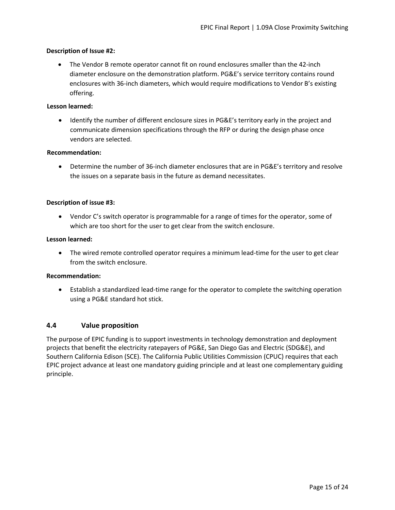#### **Description of Issue #2:**

 The Vendor B remote operator cannot fit on round enclosures smaller than the 42-inch diameter enclosure on the demonstration platform. PG&E's service territory contains round enclosures with 36-inch diameters, which would require modifications to Vendor B's existing offering.

#### **Lesson learned:**

 Identify the number of different enclosure sizes in PG&E's territory early in the project and communicate dimension specifications through the RFP or during the design phase once vendors are selected.

#### **Recommendation:**

 Determine the number of 36-inch diameter enclosures that are in PG&E's territory and resolve the issues on a separate basis in the future as demand necessitates.

#### **Description of issue #3:**

 Vendor C's switch operator is programmable for a range of times for the operator, some of which are too short for the user to get clear from the switch enclosure.

#### **Lesson learned:**

 The wired remote controlled operator requires a minimum lead-time for the user to get clear from the switch enclosure.

#### **Recommendation:**

 Establish a standardized lead-time range for the operator to complete the switching operation using a PG&E standard hot stick.

#### <span id="page-16-0"></span>**4.4 Value proposition**

The purpose of EPIC funding is to support investments in technology demonstration and deployment projects that benefit the electricity ratepayers of PG&E, San Diego Gas and Electric (SDG&E), and Southern California Edison (SCE). The California Public Utilities Commission (CPUC) requires that each EPIC project advance at least one mandatory guiding principle and at least one complementary guiding principle.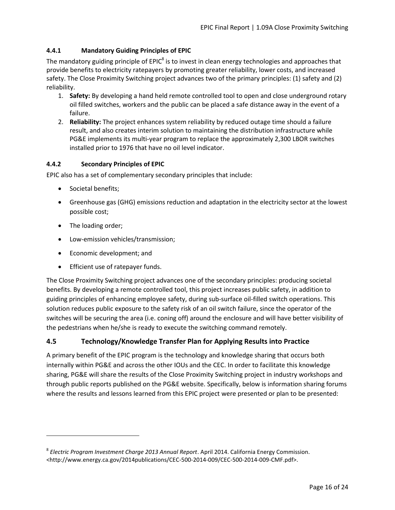#### <span id="page-17-0"></span>**4.4.1 Mandatory Guiding Principles of EPIC**

The mandatory guiding principle of EPIC<sup>8</sup> is to invest in clean energy technologies and approaches that provide benefits to electricity ratepayers by promoting greater reliability, lower costs, and increased safety. The Close Proximity Switching project advances two of the primary principles: (1) safety and (2) reliability.

- 1. **Safety:** By developing a hand held remote controlled tool to open and close underground rotary oil filled switches, workers and the public can be placed a safe distance away in the event of a failure.
- 2. **Reliability:** The project enhances system reliability by reduced outage time should a failure result, and also creates interim solution to maintaining the distribution infrastructure while PG&E implements its multi-year program to replace the approximately 2,300 LBOR switches installed prior to 1976 that have no oil level indicator.

#### <span id="page-17-1"></span>**4.4.2 Secondary Principles of EPIC**

EPIC also has a set of complementary secondary principles that include:

- Societal benefits;
- Greenhouse gas (GHG) emissions reduction and adaptation in the electricity sector at the lowest possible cost;
- The loading order;

 $\overline{\phantom{a}}$ 

- Low-emission vehicles/transmission;
- Economic development; and
- Efficient use of ratepayer funds.

The Close Proximity Switching project advances one of the secondary principles: producing societal benefits. By developing a remote controlled tool, this project increases public safety, in addition to guiding principles of enhancing employee safety, during sub-surface oil-filled switch operations. This solution reduces public exposure to the safety risk of an oil switch failure, since the operator of the switches will be securing the area (i.e. coning off) around the enclosure and will have better visibility of the pedestrians when he/she is ready to execute the switching command remotely.

#### <span id="page-17-2"></span>**4.5 Technology/Knowledge Transfer Plan for Applying Results into Practice**

A primary benefit of the EPIC program is the technology and knowledge sharing that occurs both internally within PG&E and across the other IOUs and the CEC. In order to facilitate this knowledge sharing, PG&E will share the results of the Close Proximity Switching project in industry workshops and through public reports published on the PG&E website. Specifically, below is information sharing forums where the results and lessons learned from this EPIC project were presented or plan to be presented:

<sup>8</sup> *Electric Program Investment Charge 2013 Annual Report*. April 2014. California Energy Commission. <http://www.energy.ca.gov/2014publications/CEC-500-2014-009/CEC-500-2014-009-CMF.pdf>.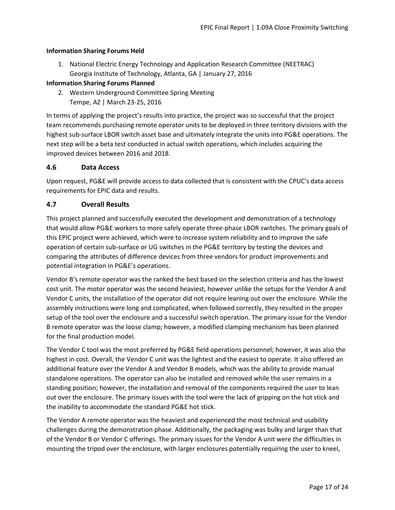#### <span id="page-18-0"></span>**Information Sharing Forums Held**

1. National Electric Energy Technology and Application Research Committee (NEETRAC) Georgia Institute of Technology, Atlanta, GA | January 27, 2016

#### **Information Sharing Forums Planned**

2. Western Underground Committee Spring Meeting Tempe, AZ | March 23-25, 2016

In terms of applying the project's results into practice, the project was so successful that the project team recommends purchasing remote operator units to be deployed in three territory divisions with the highest sub-surface LBOR switch asset base and ultimately integrate the units into PG&E operations. The next step will be a beta test conducted in actual switch operations, which includes acquiring the improved devices between 2016 and 2018.

#### <span id="page-18-1"></span>**4.6 Data Access**

Upon request, PG&E will provide access to data collected that is consistent with the CPUC's data access requirements for EPIC data and results.

#### <span id="page-18-2"></span>**4.7 Overall Results**

This project planned and successfully executed the development and demonstration of a technology that would allow PG&E workers to more safely operate three-phase LBOR switches. The primary goals of this EPIC project were achieved, which were to increase system reliability and to improve the safe operation of certain sub-surface or UG switches in the PG&E territory by testing the devices and comparing the attributes of difference devices from three vendors for product improvements and potential integration in PG&E's operations.

Vendor B's remote operator was the ranked the best based on the selection criteria and has the lowest cost unit. The motor operator was the second heaviest, however unlike the setups for the Vendor A and Vendor C units, the installation of the operator did not require leaning out over the enclosure. While the assembly instructions were long and complicated, when followed correctly, they resulted in the proper setup of the tool over the enclosure and a successful switch operation. The primary issue for the Vendor B remote operator was the loose clamp; however, a modified clamping mechanism has been planned for the final production model.

The Vendor C tool was the most preferred by PG&E field operations personnel; however, it was also the highest in cost. Overall, the Vendor C unit was the lightest and the easiest to operate. It also offered an additional feature over the Vendor A and Vendor B models, which was the ability to provide manual standalone operations. The operator can also be installed and removed while the user remains in a standing position; however, the installation and removal of the components required the user to lean out over the enclosure. The primary issues with the tool were the lack of gripping on the hot stick and the inability to accommodate the standard PG&E hot stick.

The Vendor A remote operator was the heaviest and experienced the most technical and usability challenges during the demonstration phase. Additionally, the packaging was bulky and larger than that of the Vendor B or Vendor C offerings. The primary issues for the Vendor A unit were the difficulties in mounting the tripod over the enclosure, with larger enclosures potentially requiring the user to kneel,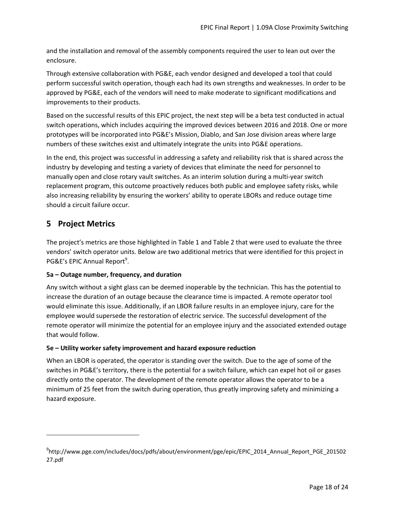and the installation and removal of the assembly components required the user to lean out over the enclosure.

Through extensive collaboration with PG&E, each vendor designed and developed a tool that could perform successful switch operation, though each had its own strengths and weaknesses. In order to be approved by PG&E, each of the vendors will need to make moderate to significant modifications and improvements to their products.

Based on the successful results of this EPIC project, the next step will be a beta test conducted in actual switch operations, which includes acquiring the improved devices between 2016 and 2018. One or more prototypes will be incorporated into PG&E's Mission, Diablo, and San Jose division areas where large numbers of these switches exist and ultimately integrate the units into PG&E operations.

In the end, this project was successful in addressing a safety and reliability risk that is shared across the industry by developing and testing a variety of devices that eliminate the need for personnel to manually open and close rotary vault switches. As an interim solution during a multi-year switch replacement program, this outcome proactively reduces both public and employee safety risks, while also increasing reliability by ensuring the workers' ability to operate LBORs and reduce outage time should a circuit failure occur.

# <span id="page-19-0"></span>**5 Project Metrics**

l

The project's metrics are those highlighted in [Table 1](#page-11-0) and [Table 2](#page-14-1) that were used to evaluate the three vendors' switch operator units. Below are two additional metrics that were identified for this project in PG&E's EPIC Annual Report<sup>9</sup>.

#### **5a – Outage number, frequency, and duration**

Any switch without a sight glass can be deemed inoperable by the technician. This has the potential to increase the duration of an outage because the clearance time is impacted. A remote operator tool would eliminate this issue. Additionally, if an LBOR failure results in an employee injury, care for the employee would supersede the restoration of electric service. The successful development of the remote operator will minimize the potential for an employee injury and the associated extended outage that would follow.

#### **5e – Utility worker safety improvement and hazard exposure reduction**

When an LBOR is operated, the operator is standing over the switch. Due to the age of some of the switches in PG&E's territory, there is the potential for a switch failure, which can expel hot oil or gases directly onto the operator. The development of the remote operator allows the operator to be a minimum of 25 feet from the switch during operation, thus greatly improving safety and minimizing a hazard exposure.

<sup>9</sup> http://www.pge.com/includes/docs/pdfs/about/environment/pge/epic/EPIC\_2014\_Annual\_Report\_PGE\_201502 27.pdf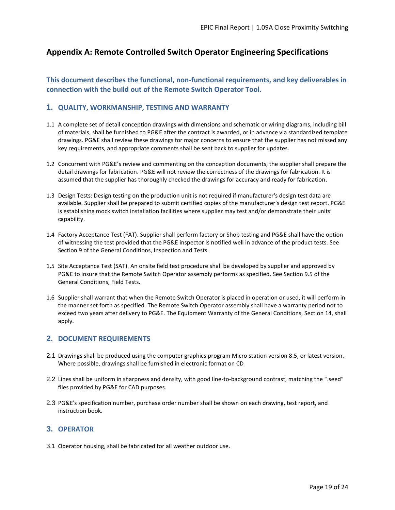# <span id="page-20-0"></span>**Appendix A: Remote Controlled Switch Operator Engineering Specifications**

#### **This document describes the functional, non-functional requirements, and key deliverables in connection with the build out of the Remote Switch Operator Tool.**

#### **1. QUALITY, WORKMANSHIP, TESTING AND WARRANTY**

- 1.1 A complete set of detail conception drawings with dimensions and schematic or wiring diagrams, including bill of materials, shall be furnished to PG&E after the contract is awarded, or in advance via standardized template drawings. PG&E shall review these drawings for major concerns to ensure that the supplier has not missed any key requirements, and appropriate comments shall be sent back to supplier for updates.
- 1.2 Concurrent with PG&E's review and commenting on the conception documents, the supplier shall prepare the detail drawings for fabrication. PG&E will not review the correctness of the drawings for fabrication. It is assumed that the supplier has thoroughly checked the drawings for accuracy and ready for fabrication.
- 1.3 Design Tests: Design testing on the production unit is not required if manufacturer's design test data are available. Supplier shall be prepared to submit certified copies of the manufacturer's design test report. PG&E is establishing mock switch installation facilities where supplier may test and/or demonstrate their units' capability.
- 1.4 Factory Acceptance Test (FAT). Supplier shall perform factory or Shop testing and PG&E shall have the option of witnessing the test provided that the PG&E inspector is notified well in advance of the product tests. See Section 9 of the General Conditions, Inspection and Tests.
- 1.5 Site Acceptance Test (SAT). An onsite field test procedure shall be developed by supplier and approved by PG&E to insure that the Remote Switch Operator assembly performs as specified. See Section 9.5 of the General Conditions, Field Tests.
- 1.6 Supplier shall warrant that when the Remote Switch Operator is placed in operation or used, it will perform in the manner set forth as specified. The Remote Switch Operator assembly shall have a warranty period not to exceed two years after delivery to PG&E. The Equipment Warranty of the General Conditions, Section 14, shall apply.

#### **2. DOCUMENT REQUIREMENTS**

- 2.1 Drawings shall be produced using the computer graphics program Micro station version 8.5, or latest version. Where possible, drawings shall be furnished in electronic format on CD
- 2.2 Lines shall be uniform in sharpness and density, with good line-to-background contrast, matching the ".seed" files provided by PG&E for CAD purposes.
- 2.3 PG&E's specification number, purchase order number shall be shown on each drawing, test report, and instruction book.

#### **3. OPERATOR**

3.1 Operator housing, shall be fabricated for all weather outdoor use.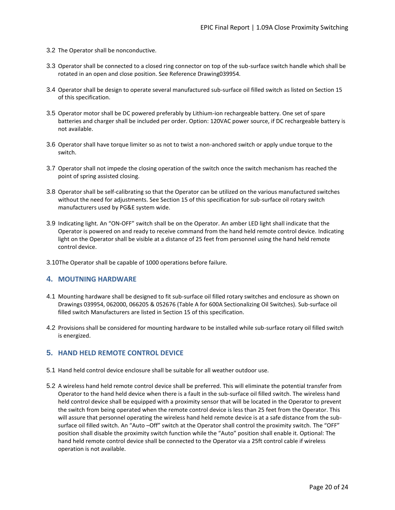- 3.2 The Operator shall be nonconductive.
- 3.3 Operator shall be connected to a closed ring connector on top of the sub-surface switch handle which shall be rotated in an open and close position. See Reference Drawing039954.
- 3.4 Operator shall be design to operate several manufactured sub-surface oil filled switch as listed on Section 15 of this specification.
- 3.5 Operator motor shall be DC powered preferably by Lithium-ion rechargeable battery. One set of spare batteries and charger shall be included per order. Option: 120VAC power source, if DC rechargeable battery is not available.
- 3.6 Operator shall have torque limiter so as not to twist a non-anchored switch or apply undue torque to the switch.
- 3.7 Operator shall not impede the closing operation of the switch once the switch mechanism has reached the point of spring assisted closing.
- 3.8 Operator shall be self-calibrating so that the Operator can be utilized on the various manufactured switches without the need for adjustments. See Section 15 of this specification for sub-surface oil rotary switch manufacturers used by PG&E system wide.
- 3.9 Indicating light. An "ON-OFF" switch shall be on the Operator. An amber LED light shall indicate that the Operator is powered on and ready to receive command from the hand held remote control device. Indicating light on the Operator shall be visible at a distance of 25 feet from personnel using the hand held remote control device.
- 3.10The Operator shall be capable of 1000 operations before failure.

#### **4. MOUTNING HARDWARE**

- 4.1 Mounting hardware shall be designed to fit sub-surface oil filled rotary switches and enclosure as shown on Drawings 039954, 062000, 066205 & 052676 (Table A for 600A Sectionalizing Oil Switches). Sub-surface oil filled switch Manufacturers are listed in Section 15 of this specification.
- 4.2 Provisions shall be considered for mounting hardware to be installed while sub-surface rotary oil filled switch is energized.

#### **5. HAND HELD REMOTE CONTROL DEVICE**

- 5.1 Hand held control device enclosure shall be suitable for all weather outdoor use.
- 5.2 A wireless hand held remote control device shall be preferred. This will eliminate the potential transfer from Operator to the hand held device when there is a fault in the sub-surface oil filled switch. The wireless hand held control device shall be equipped with a proximity sensor that will be located in the Operator to prevent the switch from being operated when the remote control device is less than 25 feet from the Operator. This will assure that personnel operating the wireless hand held remote device is at a safe distance from the subsurface oil filled switch. An "Auto –Off" switch at the Operator shall control the proximity switch. The "OFF" position shall disable the proximity switch function while the "Auto" position shall enable it. Optional: The hand held remote control device shall be connected to the Operator via a 25ft control cable if wireless operation is not available.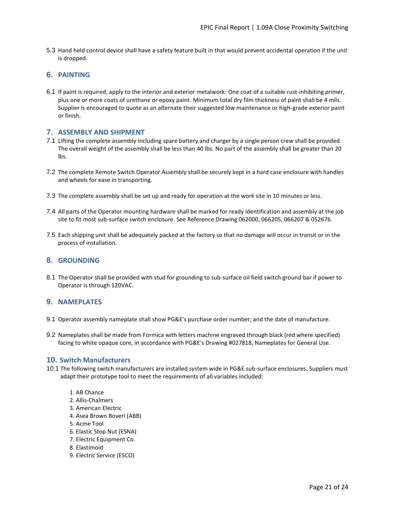5.3 Hand held control device shall have a safety feature built in that would prevent accidental operation if the unit is dropped.

#### **6. PAINTING**

6.1 If paint is required, apply to the interior and exterior metalwork: One coat of a suitable rust-inhibiting primer, plus one or more coats of urethane or epoxy paint. Minimum total dry film thickness of paint shall be 4 mils. Supplier is encouraged to quote as an alternate their suggested low maintenance or high-grade exterior paint or finish.

#### **7. ASSEMBLY AND SHIPMENT**

- 7.1 Lifting the complete assembly including spare battery and charger by a single person crew shall be provided. The overall weight of the assembly shall be less than 40 lbs. No part of the assembly shall be greater than 20 lbs.
- 7.2 The complete Remote Switch Operator Assembly shall be securely kept in a hard case enclosure with handles and wheels for ease in transporting.
- 7.3 The complete assembly shall be set up and ready for operation at the work site in 10 minutes or less.
- 7.4 All parts of the Operator mounting hardware shall be marked for ready identification and assembly at the job site to fit most sub-surface switch enclosure. See Reference Drawing 062000, 066205, 066207 & 052676.
- 7.5 Each shipping unit shall be adequately packed at the factory so that no damage will occur in transit or in the process of installation.

#### **8. GROUNDING**

8.1 The Operator shall be provided with stud for grounding to sub-surface oil field switch ground bar if power to Operator is through 120VAC.

#### **9. NAMEPLATES**

- 9.1 Operator assembly nameplate shall show PG&E's purchase order number; and the date of manufacture.
- 9.2 Nameplates shall be made from Formica with letters machine engraved through black (red where specified) facing to white opaque core, in accordance with PG&E's Drawing #027818, Nameplates for General Use.

#### **10. Switch Manufacturers**

- 10.1 The following switch manufacturers are installed system wide in PG&E sub-surface enclosures. Suppliers must adapt their prototype tool to meet the requirements of all variables included:
	- 1. AB Chance 2. Allis-Chalmers 3. American Electric 4. Asea Brown Boveri (ABB) 5. Acme Tool 6. Elastic Stop Nut (ESNA) 7. Electric Equipment Co.
	- 8. Elastimoid
	- 9. Electric Service (ESCO)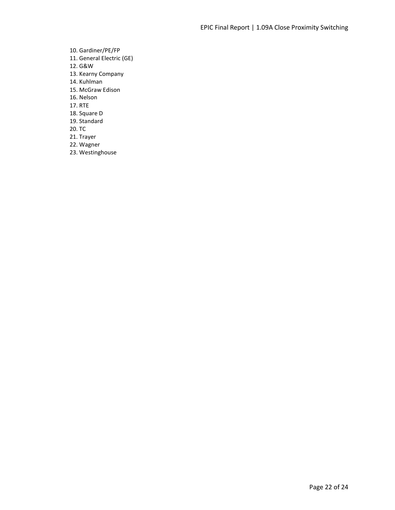10. Gardiner/PE/FP 11. General Electric (GE) 12. G&W 13. Kearny Company 14. Kuhlman 15. McGraw Edison 16. Nelson 17. RTE 18. Square D 19. Standard 20. TC 21. Trayer 22. Wagner 23. Westinghouse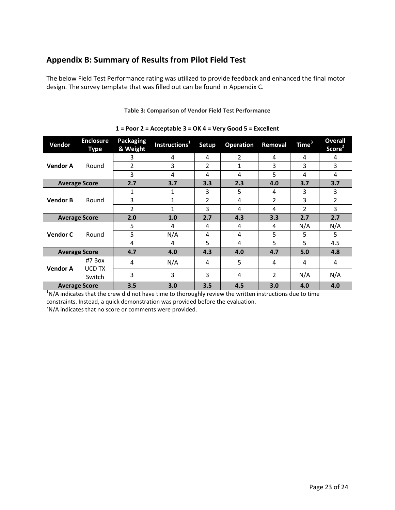# <span id="page-24-0"></span>**Appendix B: Summary of Results from Pilot Field Test**

The below Field Test Performance rating was utilized to provide feedback and enhanced the final motor design. The survey template that was filled out can be found in Appendix C.

<span id="page-24-1"></span>

| $1 =$ Poor 2 = Acceptable 3 = OK 4 = Very Good 5 = Excellent |                                                                       |                              |                           |                |                  |                |                   |                                      |  |
|--------------------------------------------------------------|-----------------------------------------------------------------------|------------------------------|---------------------------|----------------|------------------|----------------|-------------------|--------------------------------------|--|
| Vendor                                                       | <b>Enclosure</b><br>Type                                              | <b>Packaging</b><br>& Weight | Instructions <sup>1</sup> | <b>Setup</b>   | <b>Operation</b> | Removal        | Time <sup>3</sup> | <b>Overall</b><br>Score <sup>2</sup> |  |
|                                                              |                                                                       | 3                            | 4                         | 4              | 2                | 4              | 4                 | 4                                    |  |
| <b>Vendor A</b>                                              | Round                                                                 | 2                            | 3                         | 2              | 1                | 3              | 3                 | 3                                    |  |
|                                                              |                                                                       | 3                            | 4                         | 4              | 4                | 5              | 4                 | 4                                    |  |
|                                                              | <b>Average Score</b>                                                  | 2.7                          | 3.7                       | 3.3            | 2.3              | 4.0            | 3.7               | 3.7                                  |  |
|                                                              | Round                                                                 | 1                            | 1                         | 3              | 5                | 4              | 3                 | 3                                    |  |
| <b>Vendor B</b>                                              |                                                                       | 3                            | 1                         | $\overline{2}$ | 4                | $\overline{2}$ | 3                 | $\overline{2}$                       |  |
|                                                              |                                                                       | $\overline{2}$               | 1                         | 3              | 4                | 4              | $\overline{2}$    | 3                                    |  |
|                                                              | <b>Average Score</b>                                                  | 2.0                          | 1.0                       | 2.7            | 4.3              | 3.3            | 2.7               | 2.7                                  |  |
|                                                              | Round                                                                 | 5                            | 4                         | 4              | 4                | 4              | N/A               | N/A                                  |  |
| <b>Vendor C</b>                                              |                                                                       | 5                            | N/A                       | 4              | 4                | 5              | 5                 | 5                                    |  |
|                                                              |                                                                       | 4                            | 4                         | 5              | 4                | 5              | 5                 | 4.5                                  |  |
| <b>Average Score</b>                                         |                                                                       | 4.7                          | 4.0                       | 4.3            | 4.0              | 4.7            | 5.0               | 4.8                                  |  |
| <b>Vendor A</b>                                              | #7 Box<br>UCD TX                                                      | 4                            | N/A                       | 4              | 5                | 4              | 4                 | 4                                    |  |
|                                                              | Switch                                                                | 3                            | 3                         | 3              | 4                | 2              | N/A               | N/A                                  |  |
|                                                              | 3.5<br>4.5<br>3.0<br>3.0<br>3.5<br>4.0<br>4.0<br><b>Average Score</b> |                              |                           |                |                  |                |                   |                                      |  |

#### **Table 3: Comparison of Vendor Field Test Performance**

 $1$ N/A indicates that the crew did not have time to thoroughly review the written instructions due to time constraints. Instead, a quick demonstration was provided before the evaluation.

 $2$ N/A indicates that no score or comments were provided.